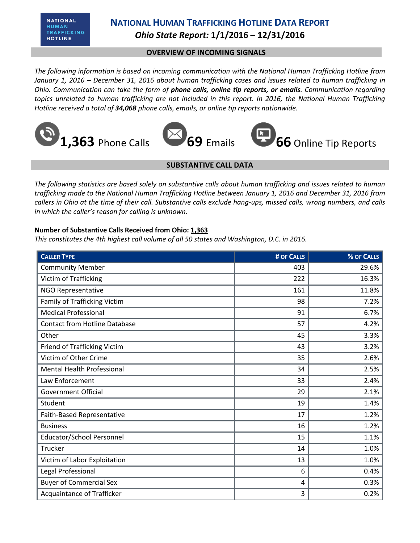**NATIONAL** HUMAN TRAFFICKING **HOTLINE** 

## **NATIONAL HUMAN TRAFFICKING HOTLINE DATA REPORT** *Ohio State Report:* **1/1/2016 – 12/31/2016**

### **OVERVIEW OF INCOMING SIGNALS**

*The following information is based on incoming communication with the National Human Trafficking Hotline from January 1, 2016 – December 31, 2016 about human trafficking cases and issues related to human trafficking in Ohio. Communication can take the form of phone calls, online tip reports, or emails. Communication regarding topics unrelated to human trafficking are not included in this report. In 2016, the National Human Trafficking Hotline received a total of 34,068 phone calls, emails, or online tip reports nationwide.*









### **SUBSTANTIVE CALL DATA**

*The following statistics are based solely on substantive calls about human trafficking and issues related to human trafficking made to the National Human Trafficking Hotline between January 1, 2016 and December 31, 2016 from callers in Ohio at the time of their call. Substantive calls exclude hang-ups, missed calls, wrong numbers, and calls in which the caller's reason for calling is unknown.*

### **Number of Substantive Calls Received from Ohio: 1,363**

*This constitutes the 4th highest call volume of all 50 states and Washington, D.C. in 2016.*

| <b>CALLER TYPE</b>                   | # OF CALLS | % OF CALLS |
|--------------------------------------|------------|------------|
| <b>Community Member</b>              | 403        | 29.6%      |
| Victim of Trafficking                | 222        | 16.3%      |
| NGO Representative                   | 161        | 11.8%      |
| Family of Trafficking Victim         | 98         | 7.2%       |
| <b>Medical Professional</b>          | 91         | 6.7%       |
| <b>Contact from Hotline Database</b> | 57         | 4.2%       |
| Other                                | 45         | 3.3%       |
| Friend of Trafficking Victim         | 43         | 3.2%       |
| Victim of Other Crime                | 35         | 2.6%       |
| <b>Mental Health Professional</b>    | 34         | 2.5%       |
| Law Enforcement                      | 33         | 2.4%       |
| Government Official                  | 29         | 2.1%       |
| Student                              | 19         | 1.4%       |
| Faith-Based Representative           | 17         | 1.2%       |
| <b>Business</b>                      | 16         | 1.2%       |
| <b>Educator/School Personnel</b>     | 15         | 1.1%       |
| Trucker                              | 14         | 1.0%       |
| Victim of Labor Exploitation         | 13         | 1.0%       |
| Legal Professional                   | 6          | 0.4%       |
| <b>Buyer of Commercial Sex</b>       | 4          | 0.3%       |
| <b>Acquaintance of Trafficker</b>    | 3          | 0.2%       |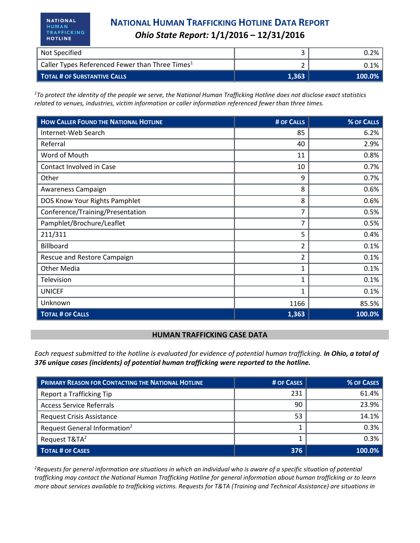| Not Specified                                               |       | $0.2\%$ । |
|-------------------------------------------------------------|-------|-----------|
| Caller Types Referenced Fewer than Three Times <sup>1</sup> |       | 0.1%∣     |
| <b>TOTAL # OF SUBSTANTIVE CALLS</b>                         | 1.363 | $100.0\%$ |

*<sup>1</sup>To protect the identity of the people we serve, the National Human Trafficking Hotline does not disclose exact statistics related to venues, industries, victim information or caller information referenced fewer than three times.* 

| <b>HOW CALLER FOUND THE NATIONAL HOTLINE</b> | # OF CALLS   | % OF CALLS |
|----------------------------------------------|--------------|------------|
| Internet-Web Search                          | 85           | 6.2%       |
| Referral                                     | 40           | 2.9%       |
| Word of Mouth                                | 11           | 0.8%       |
| Contact Involved in Case                     | 10           | 0.7%       |
| Other                                        | 9            | 0.7%       |
| Awareness Campaign                           | 8            | 0.6%       |
| DOS Know Your Rights Pamphlet                | 8            | 0.6%       |
| Conference/Training/Presentation             | 7            | 0.5%       |
| Pamphlet/Brochure/Leaflet                    | 7            | 0.5%       |
| 211/311                                      | 5            | 0.4%       |
| Billboard                                    | 2            | 0.1%       |
| Rescue and Restore Campaign                  | 2            | 0.1%       |
| <b>Other Media</b>                           | 1            | 0.1%       |
| Television                                   | $\mathbf{1}$ | 0.1%       |
| <b>UNICEF</b>                                | 1            | 0.1%       |
| Unknown                                      | 1166         | 85.5%      |
| <b>TOTAL # OF CALLS</b>                      | 1,363        | 100.0%     |

#### **HUMAN TRAFFICKING CASE DATA**

*Each request submitted to the hotline is evaluated for evidence of potential human trafficking. In Ohio, a total of 376 unique cases (incidents) of potential human trafficking were reported to the hotline.*

| <b>PRIMARY REASON FOR CONTACTING THE NATIONAL HOTLINE</b> | # OF CASES | <b>% OF CASES</b> |
|-----------------------------------------------------------|------------|-------------------|
| Report a Trafficking Tip                                  | 231        | 61.4%             |
| <b>Access Service Referrals</b>                           | 90         | 23.9%             |
| <b>Request Crisis Assistance</b>                          | 53         | 14.1%             |
| Request General Information <sup>2</sup>                  |            | 0.3%              |
| Request T&TA <sup>2</sup>                                 |            | 0.3%              |
| <b>TOTAL # OF CASES</b>                                   | 376        | 100.0%            |

*<sup>2</sup>Requests for general information are situations in which an individual who is aware of a specific situation of potential trafficking may contact the National Human Trafficking Hotline for general information about human trafficking or to learn more about services available to trafficking victims. Requests for T&TA (Training and Technical Assistance) are situations in*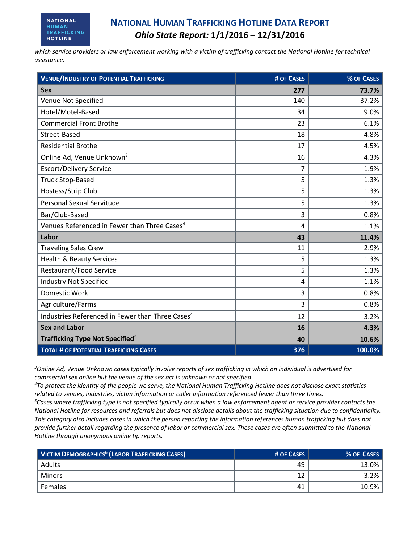*which service providers or law enforcement working with a victim of trafficking contact the National Hotline for technical assistance.* 

| <b>VENUE/INDUSTRY OF POTENTIAL TRAFFICKING</b>               | # OF CASES     | % OF CASES |
|--------------------------------------------------------------|----------------|------------|
| <b>Sex</b>                                                   | 277            | 73.7%      |
| Venue Not Specified                                          | 140            | 37.2%      |
| Hotel/Motel-Based                                            | 34             | 9.0%       |
| <b>Commercial Front Brothel</b>                              | 23             | 6.1%       |
| Street-Based                                                 | 18             | 4.8%       |
| <b>Residential Brothel</b>                                   | 17             | 4.5%       |
| Online Ad, Venue Unknown <sup>3</sup>                        | 16             | 4.3%       |
| <b>Escort/Delivery Service</b>                               | $\overline{7}$ | 1.9%       |
| <b>Truck Stop-Based</b>                                      | 5              | 1.3%       |
| Hostess/Strip Club                                           | 5              | 1.3%       |
| <b>Personal Sexual Servitude</b>                             | 5              | 1.3%       |
| Bar/Club-Based                                               | 3              | 0.8%       |
| Venues Referenced in Fewer than Three Cases <sup>4</sup>     | 4              | 1.1%       |
| Labor                                                        | 43             | 11.4%      |
| <b>Traveling Sales Crew</b>                                  | 11             | 2.9%       |
| <b>Health &amp; Beauty Services</b>                          | 5              | 1.3%       |
| <b>Restaurant/Food Service</b>                               | 5              | 1.3%       |
| <b>Industry Not Specified</b>                                | 4              | 1.1%       |
| <b>Domestic Work</b>                                         | 3              | 0.8%       |
| Agriculture/Farms                                            | 3              | 0.8%       |
| Industries Referenced in Fewer than Three Cases <sup>4</sup> | 12             | 3.2%       |
| <b>Sex and Labor</b>                                         | 16             | 4.3%       |
| Trafficking Type Not Specified <sup>5</sup>                  | 40             | 10.6%      |
| <b>TOTAL # OF POTENTIAL TRAFFICKING CASES</b>                | 376            | 100.0%     |

*<sup>3</sup>Online Ad, Venue Unknown cases typically involve reports of sex trafficking in which an individual is advertised for commercial sex online but the venue of the sex act is unknown or not specified.*

*<sup>4</sup>To protect the identity of the people we serve, the National Human Trafficking Hotline does not disclose exact statistics related to venues, industries, victim information or caller information referenced fewer than three times.* 

*<sup>5</sup>Cases where trafficking type is not specified typically occur when a law enforcement agent or service provider contacts the National Hotline for resources and referrals but does not disclose details about the trafficking situation due to confidentiality. This category also includes cases in which the person reporting the information references human trafficking but does not provide further detail regarding the presence of labor or commercial sex. These cases are often submitted to the National Hotline through anonymous online tip reports.*

| <b>VICTIM DEMOGRAPHICS<sup>6</sup> (LABOR TRAFFICKING CASES)</b> | # OF CASES | % OF CASES |
|------------------------------------------------------------------|------------|------------|
| Adults                                                           | 49         | 13.0%      |
| Minors                                                           |            | 3.2%       |
| Females                                                          | 41         | 10.9%      |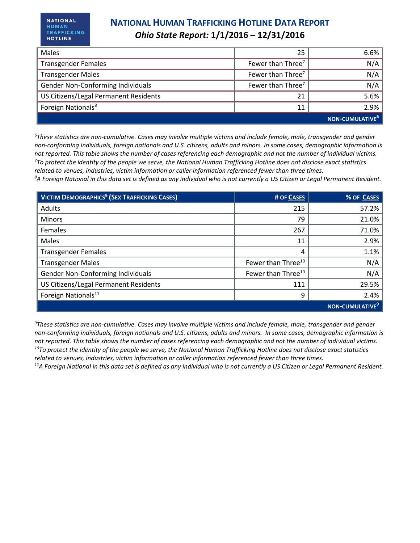| Males                                 | 25                            | 6.6%                        |
|---------------------------------------|-------------------------------|-----------------------------|
| <b>Transgender Females</b>            | Fewer than Three <sup>7</sup> | N/A                         |
| <b>Transgender Males</b>              | Fewer than Three <sup>7</sup> | N/A                         |
| Gender Non-Conforming Individuals     | Fewer than Three <sup>7</sup> | N/A                         |
| US Citizens/Legal Permanent Residents |                               | 5.6%                        |
| Foreign Nationals <sup>8</sup>        | 11                            | 2.9%                        |
|                                       |                               | NON-CUMULATIVE <sup>6</sup> |

*<sup>6</sup>These statistics are non-cumulative. Cases may involve multiple victims and include female, male, transgender and gender non-conforming individuals, foreign nationals and U.S. citizens, adults and minors. In some cases, demographic information is not reported. This table shows the number of cases referencing each demographic and not the number of individual victims. <sup>7</sup>To protect the identity of the people we serve, the National Human Trafficking Hotline does not disclose exact statistics related to venues, industries, victim information or caller information referenced fewer than three times. <sup>8</sup>A Foreign National in this data set is defined as any individual who is not currently a US Citizen or Legal Permanent Resident.* 

| VICTIM DEMOGRAPHICS <sup>9</sup> (SEX TRAFFICKING CASES) | # OF CASES                     | % OF CASES         |
|----------------------------------------------------------|--------------------------------|--------------------|
| <b>Adults</b>                                            | 215                            | 57.2%              |
| Minors                                                   | 79                             | 21.0%              |
| Females                                                  | 267                            | 71.0%              |
| Males                                                    | 11                             | 2.9%               |
| <b>Transgender Females</b>                               | 4                              | 1.1%               |
| <b>Transgender Males</b>                                 | Fewer than Three <sup>10</sup> | N/A                |
| Gender Non-Conforming Individuals                        | Fewer than Three <sup>10</sup> | N/A                |
| US Citizens/Legal Permanent Residents                    | 111                            | 29.5%              |
| Foreign Nationals <sup>11</sup>                          | 9                              | 2.4%               |
|                                                          |                                | <b>NON-CUMULAT</b> |

*<sup>9</sup>These statistics are non-cumulative. Cases may involve multiple victims and include female, male, transgender and gender non-conforming individuals, foreign nationals and U.S. citizens, adults and minors. In some cases, demographic information is not reported. This table shows the number of cases referencing each demographic and not the number of individual victims. <sup>10</sup>To protect the identity of the people we serve, the National Human Trafficking Hotline does not disclose exact statistics related to venues, industries, victim information or caller information referenced fewer than three times.* 

*11A Foreign National in this data set is defined as any individual who is not currently a US Citizen or Legal Permanent Resident.*